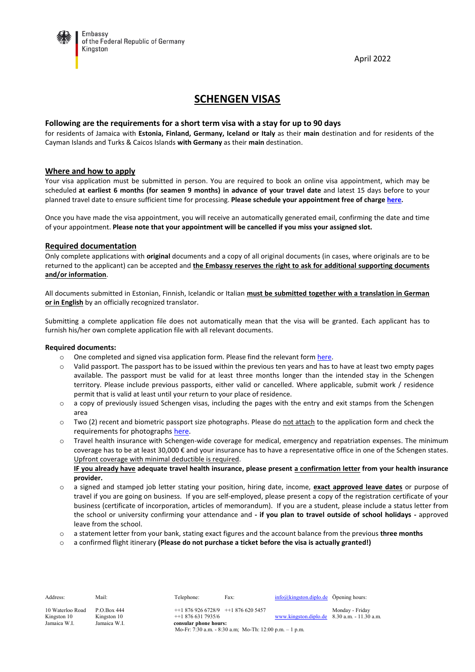Embassy of the Federal Republic of Germany Kingston

April 2022

# **SCHENGEN VISAS**

#### **Following are the requirements for a short term visa with a stay for up to 90 days**

for residents of Jamaica with **Estonia, Finland, Germany, Iceland or Italy** as their **main** destination and for residents of the Cayman Islands and Turks & Caicos Islands **with Germany** as their **main** destination.

#### **Where and how to apply**

Your visa application must be submitted in person. You are required to book an online visa appointment, which may be scheduled **at earliest 6 months (for seamen 9 months) in advance of your travel date** and latest 15 days before to your planned travel date to ensure sufficient time for processing. **Please schedule your appointment free of charge [here](https://service.diplo.de/rktermin/extern/choose_realmList.do?locationCode=king&request_locale=en).**

Once you have made the visa appointment, you will receive an automatically generated email, confirming the date and time of your appointment. **Please note that your appointment will be cancelled if you miss your assigned slot.**

#### **Required documentation**

Only complete applications with **original** documents and a copy of all original documents (in cases, where originals are to be returned to the applicant) can be accepted and **the Embassy reserves the right to ask for additional supporting documents and/or information**.

All documents submitted in Estonian, Finnish, Icelandic or Italian **must be submitted together with a translation in German or in English** by an officially recognized translator.

Submitting a complete application file does not automatically mean that the visa will be granted. Each applicant has to furnish his/her own complete application file with all relevant documents.

#### **Required documents:**

- $\circ$  One completed and signed visa application form. Please find the relevant form [here.](https://videx.diplo.de/)
- o Valid passport. The passport has to be issued within the previous ten years and has to have at least two empty pages available. The passport must be valid for at least three months longer than the intended stay in the Schengen territory. Please include previous passports, either valid or cancelled. Where applicable, submit work / residence permit that is valid at least until your return to your place of residence.
- o a copy of previously issued Schengen visas, including the pages with the entry and exit stamps from the Schengen area
- $\circ$  Two (2) recent and biometric passport size photographs. Please do not attach to the application form and check the requirements for photographs [here.](https://www.bundesdruckerei.de/system/files/dokumente/pdf/Fotomustertafel-300dpi.pdf)
- o Travel health insurance with Schengen-wide coverage for medical, emergency and repatriation expenses. The minimum coverage has to be at least 30,000 € and your insurance has to have a representative office in one of the Schengen states. Upfront coverage with minimal deductible is required.

**IF you already have adequate travel health insurance, please present a confirmation letter from your health insurance provider.**

- o a signed and stamped job letter stating your position, hiring date, income, **exact approved leave dates** or purpose of travel if you are going on business. If you are self-employed, please present a copy of the registration certificate of your business (certificate of incorporation, articles of memorandum). If you are a student, please include a status letter from the school or university confirming your attendance and **- if you plan to travel outside of school holidays -** approved leave from the school.
- o a statement letter from your bank, stating exact figures and the account balance from the previous **three months**
- o a confirmed flight itinerary **(Please do not purchase a ticket before the visa is actually granted!)**

| Address:         | Mail:        | Telephone:                                                | Fax: | $info@kingston.diplo.de$ Öpening hours:         |                 |  |  |
|------------------|--------------|-----------------------------------------------------------|------|-------------------------------------------------|-----------------|--|--|
| 10 Waterloo Road | P.O.Box 444  | $+18769266728/9$ $+18766205457$                           |      |                                                 | Monday - Friday |  |  |
| Kingston 10      | Kingston 10  | $+18766317935/6$                                          |      | www.kingston.diplo.de $8.30$ a.m. $-11.30$ a.m. |                 |  |  |
| Jamaica W.I.     | Jamaica W.I. | consular phone hours:                                     |      |                                                 |                 |  |  |
|                  |              | Mo-Fr: 7:30 a.m. $-8:30$ a.m; Mo-Th: 12:00 p.m. $-1$ p.m. |      |                                                 |                 |  |  |